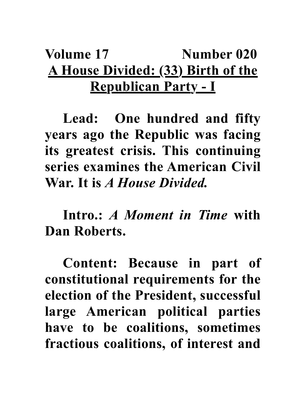## **Volume 17** Number 020 **A House Divided: (33) Birth of the Republican Party - I**

**Lead: One hundred and fifty years ago the Republic was facing its greatest crisis. This continuing series examines the American Civil War. It is** *A House Divided.*

**Intro.:** *A Moment in Time* **with Dan Roberts.**

**Content: Because in part of constitutional requirements for the election of the President, successful large American political parties have to be coalitions, sometimes fractious coalitions, of interest and**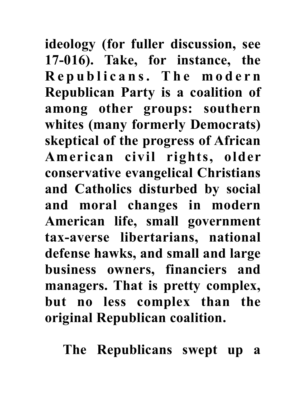**ideology (for fuller discussion, see 17-016). Take, for instance, the R e p u b l i c a n s . T h e m o d e r n Republican Party is a coalition of among other groups: southern whites (many formerly Democrats) skeptical of the progress of African American civil rights, older conservative evangelical Christians and Catholics disturbed by social and moral changes in modern American life, small government tax-averse libertarians, national defense hawks, and small and large business owners, financiers and managers. That is pretty complex, but no less complex than the original Republican coalition.** 

**The Republicans swept up a**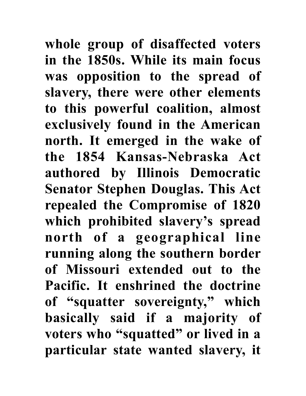**whole group of disaffected voters in the 1850s. While its main focus was opposition to the spread of slavery, there were other elements to this powerful coalition, almost exclusively found in the American north. It emerged in the wake of the 1854 Kansas-Nebraska Act authored by Illinois Democratic Senator Stephen Douglas. This Act repealed the Compromise of 1820 which prohibited slavery's spread north of a geographical line running along the southern border of Missouri extended out to the Pacific. It enshrined the doctrine of "squatter sovereignty," which basically said if a majority of voters who "squatted" or lived in a particular state wanted slavery, it**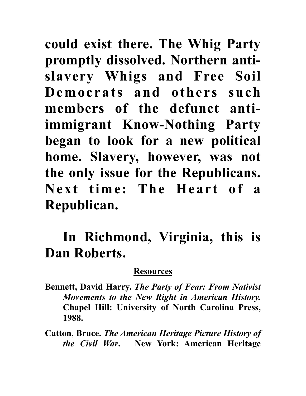**could exist there. The Whig Party promptly dissolved. Northern antislavery Whigs and Free Soil Democrats and others such members of the defunct antiimmigrant Know-Nothing Party began to look for a new political home. Slavery, however, was not the only issue for the Republicans. Next time: The Heart of a Republican.**

## **In Richmond, Virginia, this is Dan Roberts.**

## **Resources**

**Bennett, David Harry.** *The Party of Fear: From Nativist Movements to the New Right in American History.*  **Chapel Hill: University of North Carolina Press, 1988.**

**Catton, Bruce.** *The American Heritage Picture History of the Civil War***. New York: American Heritage**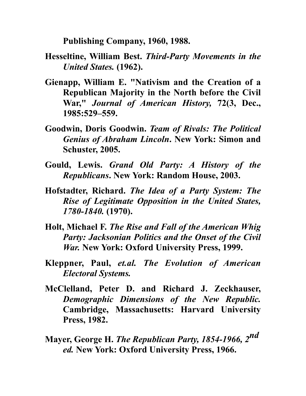**Publishing Company, 1960, 1988.**

- **Hesseltine, William Best.** *Third-Party Movements in the United States.* **(1962).**
- **Gienapp, William E. "Nativism and the Creation of a Republican Majority in the North before the Civil War,"** *Journal of American History,* **72(3, Dec., 1985:529–559.**
- **Goodwin, Doris Goodwin.** *Team of Rivals: The Political Genius of Abraham Lincoln***. New York: Simon and Schuster, 2005.**
- **Gould, Lewis.** *Grand Old Party: A History of the Republicans***. New York: Random House, 2003.**
- **Hofstadter, Richard.** *The Idea of a Party System: The Rise of Legitimate Opposition in the United States, 1780-1840.* **(1970).**
- **Holt, Michael F.** *The Rise and Fall of the American Whig Party: Jacksonian Politics and the Onset of the Civil War.* **New York: Oxford University Press, 1999.**
- **Kleppner, Paul,** *et.al. The Evolution of American Electoral Systems.*
- **McClelland, Peter D. and Richard J. Zeckhauser,**  *Demographic Dimensions of the New Republic.*  **Cambridge, Massachusetts: Harvard University Press, 1982.**
- **Mayer, George H.** *The Republican Party, 1854-1966, 2nd ed.* **New York: Oxford University Press, 1966.**